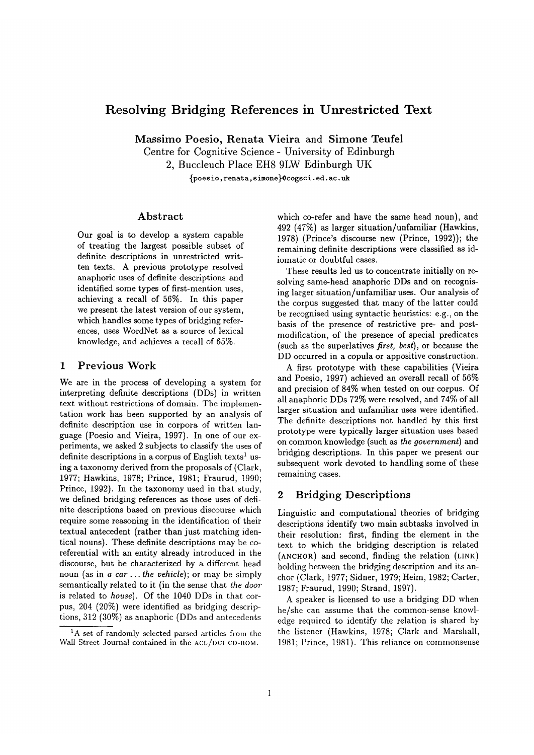# **Resolving Bridging References in Unrestricted Text**

Massimo Poesio, Renata Vieira and Simone Teufel

Centre for Cognitive Science - University of Edinburgh

2, Buccleuch Place EH8 9LW Edinburgh UK

{poesio, renata, simone}@cogsci, ed. ac. uk

## **Abstract**

Our goal is to develop a system capable of treating the largest possible subset of definite descriptions in unrestricted written texts. A previous prototype resolved anaphoric uses of definite descriptions and identified some types of first-mention uses, achieving a recall of 56%. In this paper we present the latest version of our system, which handles some types of bridging references, uses WordNet as a source of lexical knowledge, and achieves a recall of 65%.

### 1 Previous Work

We are in the process of developing a system for interpreting definite descriptions (DDs) in written text without restrictions of domain. The implementation work has been supported by an analysis of definite description use in corpora of written language (Poesio and Vieira, 1997). In one of our experiments, we asked 2 subjects to classify the uses of definite descriptions in a corpus of English texts<sup>1</sup> using a taxonomy derived from the proposals of (Clark, 1977; Hawkins, 1978; Prince, 1981; Fraurud, 1990; Prince, 1992). In the taxonomy used in that study, we defined bridging references as those uses of definite descriptions based on previous discourse which require some reasoning in the identification of their textual antecedent (rather than just matching identical nouns). These definite descriptions may be coreferential with an entity already introduced in the discourse, but be characterized by a different head noun (as in *a car.., the vehicle);* or may be simply semantically related to it (in the sense that *the door*  is related to *house).* Of the 1040 DDs in that corpus, 204 (20%) were identified as bridging descriptions, 312 (30%) as anaphoric (DDs and antecedents

which co-refer and have the same head noun), and 492 (47%) as larger situation/unfamiliar (Hawkins, 1978) (Prince's discourse new (Prince, 1992)); the remaining definite descriptions were classified as idiomatic or doubtful cases.

These results led us to concentrate initially on resolving same-head anaphoric DDs and on recognising larger situation/unfamiliar uses. Our analysis of the corpus suggested that many of the latter could be recognised using syntactic heuristics: e.g., on the basis of the presence of restrictive pre- and postmodification, of the presence of special predicates (such as the superlatives *first, best),* or because the DD occurred in a copula or appositive construction.

A first prototype with these capabilities (Vieira and Poesio, 1997) achieved an overall recall of 56% and precision of 84% when tested on our corpus. Of all anaphoric DDs 72% were resolved, and 74% of all larger situation and unfamiliar uses were identified. The definite descriptions not handled by this first prototype were typically larger situation uses based on common knowledge (such as *the government)* and bridging descriptions. In this paper we present our subsequent work devoted to handling some of these remaining cases.

## **2** Bridging Descriptions

Linguistic and computational theories of bridging descriptions identify two main subtasks involved in their resolution: first, finding the element in the text to which the bridging description is related (ANCHOR) and second, finding the relation (LINK) holding between the bridging description and its anchor (Clark, 1977; Sidner, 1979; Helm, 1982; Carter, 1987; Fraurud, 1990; Strand, 1997).

A speaker is licensed to use a bridging DD when he/she can assume that the common-sense knowledge required to identify the relation is shared by the listener (Hawkins, 1978; Clark and Marshall, 1981; Prince, 1981). This reliance on commonsense

 ${}^{1}$ A set of randomly selected parsed articles from the Wall Street Journal contained in the ACL/DCI CD-ROM.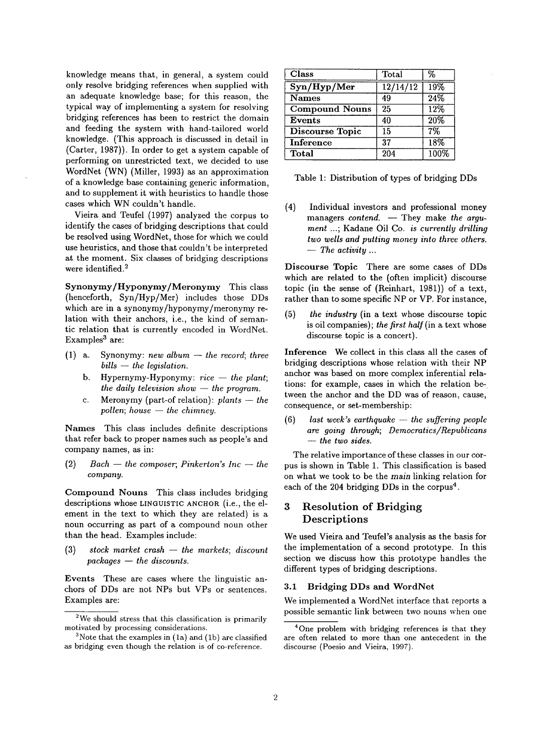knowledge means that, in general, a system could only resolve bridging references when supplied with an adequate knowledge base; for this reason, the typical way of implementing a system for resolving bridging references has been to restrict the domain and feeding the system with hand-tailored world knowledge. (This approach is discussed in detail in (Carter, 1987)). In order to get a system capable of performing on unrestricted text, we decided to use WordNet (WN) (Miller, 1993) as an approximation of a knowledge base containing generic information, and to supplement it with heuristics to handle those cases which WN couldn't handle.

Vieira and Teufel (1997) analyzed the corpus to identify the cases of bridging descriptions that could be resolved using WordNet, those for which we could use heuristics, and those that couldn't be interpreted at the moment. Six classes of bridging descriptions were identified.<sup>2</sup>

Synonymy/Hyponymy/Meronymy This class (henceforth, Syn/Hyp/Mer) includes those DDs which are in a synonymy/hyponymy/meronymy relation with their anchors, i.e., the kind of semantic relation that is currently encoded in WordNet. Examples<sup>3</sup> are:

- $(1)$  a. Synonymy: *new album -- the record; three bills -- the legislation.* 
	- b. Hypernymy-Hyponymy:  $\text{rice} \text{the plant}$ ; *the daily television show -- the program.*
	- c. Meronymy (part-of relation):  $\textit{plants}$   $-\textit{the}$ *pollen; house*  $-$  *the chimney.*

Names This class includes definite descriptions that refer back to proper names such as people's and company names, as in:

 $(2)$  *Bach -- the composer; Pinkerton's Inc -- the company.* 

Compound Nouns This class includes bridging descriptions whose LINGUISTIC ANCHOR (i.e., the element in the text to which they are related) is a noun occurring as part of a compound noun other than the head. Examples include:

(3) stock market crash -- the markets; discount *packages -- the discounts.* 

Events These are cases where the linguistic anchors of DDs are not NPs but VPs or sentences. Examples are:

| <b>Class</b>           | Total               | %    |
|------------------------|---------------------|------|
| Syn/Hyp/Mer            | $\frac{12}{14}{12}$ | 19%  |
| <b>Names</b>           | 49                  | 24%  |
| <b>Compound Nouns</b>  | 25                  | 12%  |
| <b>Events</b>          | 40                  | 20%  |
| <b>Discourse Topic</b> | 15                  | 7%   |
| <b>Inference</b>       | 37                  | 18%  |
| <b>Total</b>           | $\overline{204}$    | 100% |

|  | Table 1: Distribution of types of bridging DDs |  |  |  |
|--|------------------------------------------------|--|--|--|
|  |                                                |  |  |  |

(4) Individual investors and professional money managers *contend.* - They make the argu*ment* ...; Kadane Oil Co. *is currently drilling two wells and putting money into three others. -- The activity ...* 

Discourse Topic There are some cases of DDs which are related to the (often implicit) discourse topic (in the sense of (Reinhart, 1981)) of a text, rather than to some specific NP or VP. For instance,

(5) *the industry* (in a text whose discourse topic is oil companies); *the first half(in* a text whose discourse topic is a concert).

Inference We collect in this class all the cases of bridging descriptions whose relation with their NP anchor was based on more complex inferential relations: for example, cases in which the relation between the anchor and the DD was of reason, cause, consequence, or set-membership:

 $(6)$  *last week's earthquake -- the suffering people are going through; Democratics/Republicans -- the two sides.* 

The relative importance of these classes in our corpus is shown in Table 1. This classification is based on what we took to be the main linking relation for each of the 204 bridging DDs in the corpus<sup>4</sup>.

## **3 Resolution of** Bridging **Descriptions**

We used Vieira and Teufel's analysis as the basis for the implementation of a second prototype. In this section we discuss how this prototype handles the different types of bridging descriptions.

### 3.1 Bridging DDs and WordNet

We implemented a WordNet interface that reports a possible semantic link between two nouns when one

<sup>&</sup>lt;sup>2</sup>We should stress that this classification is primarily motivated by processing considerations.

 $3$ Note that the examples in  $(1a)$  and  $(1b)$  are classified as bridging even though the relation is of co-reference.

<sup>&</sup>lt;sup>4</sup>One problem with bridging references is that they are often related to more than one antecedent in the discourse (Poesio and Vieira, 1997).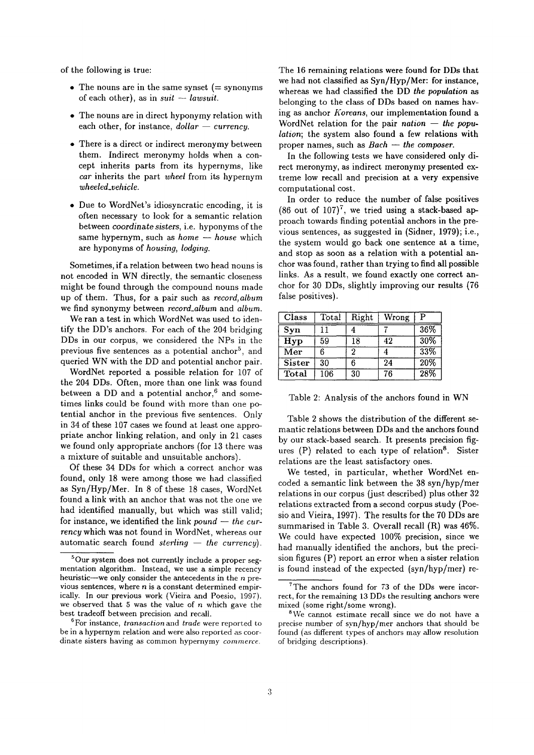of the following is true:

- The nouns are in the same synset ( $=$  synonyms of each other), as in  $suit - law suit$ .
- The nouns are in direct hyponymy relation with each other, for instance,  $dollar - current$ .
- There is a direct or indirect meronymy between them. Indirect meronymy holds when a concept inherits parts from its hypernyms, like *car* inherits the part *wheel* from its hypernym *wheeled\_vehicle.*
- Due to WordNet's idiosyncratic encoding, it is often necessary to look for a semantic relation between *coordinate sisters,* i.e. hyponyms of the same hypernym, such as *home* -- *house* which are hyponyms of *housing, lodging.*

Sometimes, if a relation between two head nouns is not encoded in WN directly, the semantic closeness might be found through the compound nouns made up of them. Thus, for a pair such as *record, album*  we find synonymy between *record\_album* and *album.* 

We ran a test in which WordNet was used to identify the DD's anchors. For each of the 204 bridging DDs in our corpus, we considered the NPs in the previous five sentences as a potential anchor<sup>5</sup>, and queried WN with the DD and potential anchor pair.

WordNet reported a possible relation for 107 of the 204 DDs. Often, more than one link was found between a DD and a potential anchor,<sup>6</sup> and sometimes links could be found with more than one potential anchor in the previous five sentences. Only in 34 of these 107 cases we found at least one appropriate anchor linking relation, and only in 21 cases we found only appropriate anchors (for 13 there was a mixture of suitable and unsuitable anchors).

Of these 34 DDs for which a correct anchor was found, only 18 were among those we had classified as Syn/Hyp/Mer. In 8 of these 18 cases, WordNet found a link with an anchor that was not the one we had identified manually, but which was still valid; for instance, we identified the link *pound* – the cur*rency* which was not found in WordNet, whereas our automatic search found *sterling*  $-$  the currency).

The 16 remaining relations were found for DDs that we had not classified as Syn/Hyp/Mer: for instance, whereas we had classified the DD *the population as*  belonging to the class of DDs based on names having as anchor *Koreans,* our implementation found a WordNet relation for the pair *nation* – the popu*lation;* the system also found a few relations with proper names, such as  $Bach - the composer$ .

In the following tests we have considered only direct meronymy, as indirect meronymy presented extreme low recall and precision at a very expensive computational cost.

In order to reduce the number of false positives (86 out of 107)<sup>7</sup>, we tried using a stack-based approach towards finding potential anchors in the previous sentences, as suggested in (Sidner, 1979); i.e., the system would go back one sentence at a time, and stop as soon as a relation with a potential anchor was found, rather than trying to find all possible links. As a result, we found exactly one correct anchor for 30 DDs, slightly improving our results (76 false positives).

| Class         | Total | Right | Wrong | р   |
|---------------|-------|-------|-------|-----|
| Syn           |       |       |       | 36% |
| Hyp           | 59    | 18    | 42    | 30% |
| Mer           | 6     | 2     |       | 33% |
| <b>Sister</b> | 30    | 6     | 24    | 20% |
| Total         | 106   | 30    | 76    | 28% |

| Table 2: Analysis of the anchors found in WN |  |  |
|----------------------------------------------|--|--|
|----------------------------------------------|--|--|

Table 2 shows the distribution of the different semantic relations between DDs and the anchors found by our stack-based search. It presents precision figures  $(P)$  related to each type of relation<sup>8</sup>. Sister relations are the least satisfactory ones.

We tested, in particular, whether WordNet encoded a semantic link between the 38 syn/hyp/mer relations in our corpus (just described) plus other 32 relations extracted from a second corpus study (Poesio and Vieira, 1997). The results for the 70 DDs are summarised in Table 3. Overall recall (R) was 46%. We could have expected 100% precision, since we had manually identified the anchors, but the precision figures (P) report an error when a sister relation is found instead of the expected (syn/hyp/mer) re-

<sup>5</sup>Our system does not currently include a proper segmentation algorithm. Instead, we use a simple recency heuristic--we only consider the antecedents in the  $n$  previous sentences, where  $n$  is a constant determined empirically. In our previous work (Vieira and Poesio, 1997). we observed that 5 was the value of  $n$  which gave the best tradeoff between precision and recall.

<sup>6</sup>For instance, *transaction* and *trade* were reported to be in a hypernym relation and were also reported as coordinate sisters having as common hypernymy *commerce.* 

<sup>&</sup>lt;sup>7</sup>The anchors found for 73 of the DDs were incorrect, for the remaining 13 DDs the resulting anchors were mixed (some right/some wrong).

 $8$ We cannot estimate recall since we do not have a precise number of syn/hyp/mer anchors that should be found (as different types of anchors may allow resolution of bridging descriptions).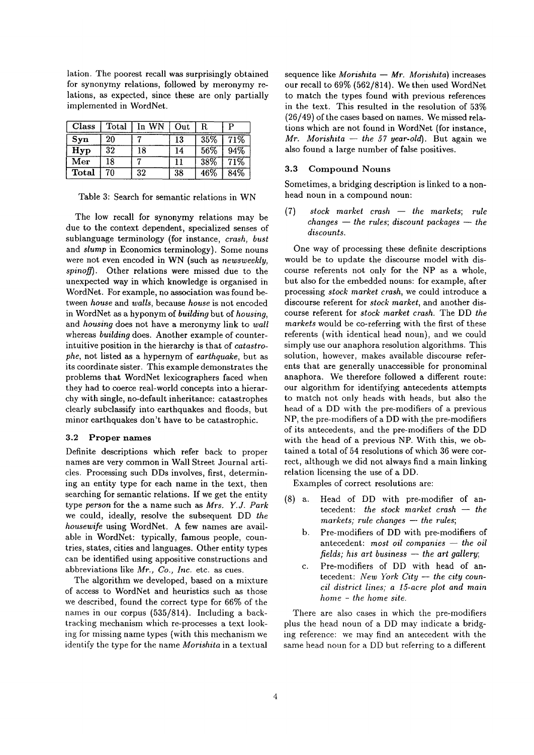lation. The poorest recall was surprisingly obtained for synonymy relations, followed by meronymy relations, as expected, since these are only partially implemented in WordNet.

| Class        | Total | In WN | Out | R.  |     |
|--------------|-------|-------|-----|-----|-----|
| Syn          | 20    |       | 13  | 35% | 71% |
| Hyp          | 32    | 18    | 14  | 56% | 94% |
| Mer          | 18    |       | 11  | 38% | 71% |
| <b>Total</b> | 70    | 32    | 38  | 46% | 84% |

Table 3: Search for semantic relations in WN

The low recall for synonymy relations may be due to the context dependent, specialized senses of sublanguage terminology (for instance, *crash, bust*  and *slump* in Economics terminology). Some nouns were not even encoded in WN (such as *newsweekly,*  spinoff). Other relations were missed due to the unexpected way in which knowledge is organised in WordNet. For example, no association was found between *house* and *walls,* because *house* is not encoded in WordNet as a hyponym of *building* but of *housing,*  and *housing* does not have a meronymy link to *wall*  whereas *building* does. Another example of counterintuitive position in the hierarchy is that of *catastrophe,* not listed as a hypernym of *earthquake,* but as its coordinate sister. This example demonstrates the problems that WordNet lexicographers faced when they had to coerce real-world concepts into a hierarchy with single, no-default inheritance: catastrophes clearly subclassify into earthquakes and floods, but minor earthquakes don't have to be catastrophic.

#### 3.2 Proper names

Definite descriptions which refer back to proper names are very common in Wall Street Journal articles. Processing such DDs involves, first, determining an entity type for each name in the text, then searching for semantic relations. If we get the entity type *person* for the a name such as *Mrs. Y.J. Park*  we could, ideally, resolve the subsequent DD *the housewife* using WordNet. A few names are available in WordNet: typically, famous people, countries, states, cities and languages. Other entity types can be identified using appositive constructions and abbreviations like *Mr., Co., Inc.* etc. as cues.

The algorithm we developed, based on a mixture of access to WordNet and heuristics such as those we described, found the correct type for 66% of the names in our corpus (535/814). Including a backtracking mechanism which re-processes a text looking for missing name types (with this mechanism we identify the type for the name *Morishita* in a textual

sequence like *Morishita -- Mr. Morishita*) increases our recall to 69% (562/814). We then used WordNet to match the types found with previous references in the text. This resulted in the resolution of 53% (26/49) of the cases based on names. We missed relations which are not found in WordNet (for instance,  $Mr.$  *Morishita -- the 57 year-old*). But again we also found a large number of false positives.

#### 3.3 Compound Nouns

Sometimes, a bridging description is linked to a nonhead noun in a compound noun:

(7) *stock market crash -- the markets; rule*   $changes - the rules; discount packages - the$ *discounts.* 

One way of processing these definite descriptions would be to update the discourse model with discourse referents not only for the NP as a whole, but also for the embedded nouns: for example, after processing *stock market crash,* we could introduce a discourse referent for *stock market,* and another discourse referent for *stock market crash.* The DD *the markets* would be co-referring with the first of these referents (with identical head noun), and we could simply use our anaphora resolution algorithms. This solution, however, makes available discourse referents that are generally unaccessible for pronominal anaphora. We therefore followed a different route: our algorithm for identifying antecedents attempts to match not only heads with heads, but also the head of a DD with the pre-modifiers of a previous NP, the pre-modifiers of a DD with the pre-modifiers of its antecedents, and the pre-modifiers of the DD with the head of a previous NP. With this, we obtained a total of 54 resolutions of which 36 were correct, although we did not always find a main linking relation licensing the use of a DD.

Examples of correct resolutions are:

- (8) a. Head of DD with pre-modifier of antecedent: *the stock market crash -- the*  $marks; rule changes - the rules;$ 
	- b. Pre-modifiers of DD with pre-modifiers of antecedent: most oil companies -- the oil *fields; his art business -- the art gallery;*
	- c. Pre-modifiers of DD with head of antecedent: *New York City -- the city council district lines; a 15-acre plot and main home - the home site.*

There are also cases in which the pre-modifiers plus the head noun of a DD may indicate a bridging reference: we may find an antecedent with the same head noun for a DD but referring to a different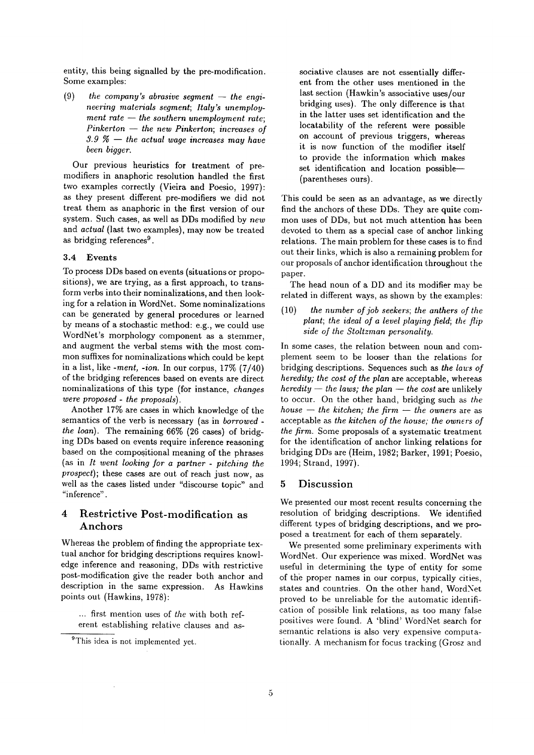entity, this being signalled by the pre-modification. Some examples:

 $(9)$  the company's abrasive segment  $-$  the engi*neering materials segment; Italy's unemployment rate -- the southern unemployment rate; Pinkerton -- the new Pinkerton; increases of 3.9 ~ -- the actual wage increases may have been bigger.* 

Our previous heuristics for treatment of premodifiers in anaphoric resolution handled the first two examples correctly (Vieira and Poesio, 1997): as they present different pre-modifiers we did not treat them as anaphoric in the first version of our system. Such cases, as well as DDs modified by *new*  and *actual* (last two examples), may now be treated as bridging references<sup>9</sup>.

#### 3.4 Events

To process DDs based on events (situations or propositions), we are trying, as a first approach, to transform verbs into their nominalizations, and then looking for a relation in WordNet. Some nominalizations can be generated by general procedures or learned by means of a stochastic method: e.g., we could use WordNet's morphology component as a stemmer, and augment the verbal stems with the most common suffixes for nominalizations which could be kept in a list, like *-ment, -ion.* In our corpus, 17% (7/40) of the bridging references based on events are direct nominalizations of this type (for instance, *changes were proposed - the proposals).* 

Another 17% are cases in which knowledge of the semantics of the verb is necessary (as in *borrowed the loan).* The remaining 66% (26 cases) of bridging DDs based on events require inference reasoning based on the compositional meaning of the phrases (as in *It went looking for a partner - pitching the prospect);* these cases are out of reach just now, as well as the cases listed under "discourse topic" and "inference".

## **4 Restrictive Post-modification as**  Anchors

Whereas the problem of finding the appropriate textual anchor for bridging descriptions requires knowledge inference and reasoning, DDs with restrictive post-modification give the reader both anchor and description in the same expression. As Hawkins points out (Hawkins, 1978):

... first mention uses of *the* with both referent establishing relative clauses and associative clauses are not essentially different from the other uses mentioned in the last section (Hawkin's associative uses/our bridging uses). The only difference is that. in the latter uses set identification and the locatability of the referent were possible on account of previous triggers, whereas it is now function of the modifier itself to provide the information which makes set identification and location possible-(parentheses ours).

This could be seen as an advantage, as we directly find the anchors of these DDs. They are quite common uses of DDs, but not much attention has been devoted to them as a special case of anchor linking relations. The main problem for these cases is to find out their links, which is also a remaining problem for our proposals of anchor identification throughout the paper.

The head noun of a DD and its modifier may be related in different ways, as shown by the examples:

(10) *the number of job seekers; the anthers of the plant; the ideal of a level playing field; the flip side of the Stoltzman personality.* 

In some cases, the relation between noun and complement seem to be looser than the relations for bridging descriptions. Sequences such as *the laws of heredity; the cost of the plan* are acceptable, whereas  $heredity - the laws; the plan - the cost are unlikely$ to occur. On the other hand, bridging such as *the*   $house - the kitchen; the firm - the owners are as$ acceptable as *the kitchen of the house; the owners of the firm.* Some proposals of a systematic treatment for the identification of anchor linking relations for bridging DDs are (Heim, 1982; Barker, 1991; Poesio, 1994; Strand, 1997).

### **5** Discussion

We presented our most recent results concerning the resolution of bridging descriptions. We identified different types of bridging descriptions, and we proposed a treatment for each of them separately.

We presented some preliminary experiments with WordNet. Our experience was mixed. WordNet was useful in determining the type of entity for some of the proper names in our corpus, typically cities, states and countries. On the other hand, WordNet proved to be unreliable for the automatic identification of possible link relations, as too many false positives were found. A 'blind' WordNet search for semantic relations is also very expensive computationally. A mechanism for focus tracking (Grosz and

<sup>&</sup>lt;sup>9</sup>This idea is not implemented yet.